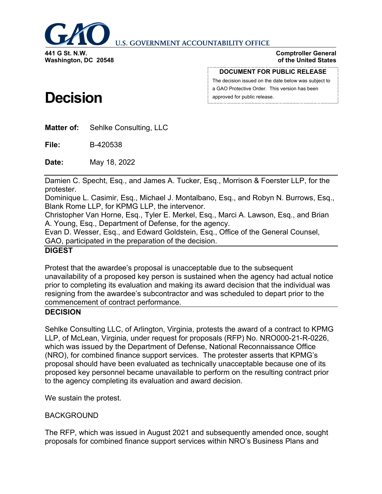

**U.S. GOVERNMENT ACCOUNTABILITY OFFICE** 

**Comptroller General of the United States**

#### **DOCUMENT FOR PUBLIC RELEASE**

The decision issued on the date below was subject to a GAO Protective Order. This version has been approved for public release.

# **Decision**

**Matter of:** Sehlke Consulting, LLC

**File:** B-420538

**Date:** May 18, 2022

Damien C. Specht, Esq., and James A. Tucker, Esq., Morrison & Foerster LLP, for the protester.

Dominique L. Casimir, Esq., Michael J. Montalbano, Esq., and Robyn N. Burrows, Esq., Blank Rome LLP, for KPMG LLP, the intervenor.

Christopher Van Horne, Esq., Tyler E. Merkel, Esq., Marci A. Lawson, Esq., and Brian A. Young, Esq., Department of Defense, for the agency.

Evan D. Wesser, Esq., and Edward Goldstein, Esq., Office of the General Counsel, GAO, participated in the preparation of the decision.

# **DIGEST**

Protest that the awardee's proposal is unacceptable due to the subsequent unavailability of a proposed key person is sustained when the agency had actual notice prior to completing its evaluation and making its award decision that the individual was resigning from the awardee's subcontractor and was scheduled to depart prior to the commencement of contract performance.

### **DECISION**

Sehlke Consulting LLC, of Arlington, Virginia, protests the award of a contract to KPMG LLP, of McLean, Virginia, under request for proposals (RFP) No. NRO000-21-R-0226, which was issued by the Department of Defense, National Reconnaissance Office (NRO), for combined finance support services. The protester asserts that KPMG's proposal should have been evaluated as technically unacceptable because one of its proposed key personnel became unavailable to perform on the resulting contract prior to the agency completing its evaluation and award decision.

We sustain the protest.

### BACKGROUND

The RFP, which was issued in August 2021 and subsequently amended once, sought proposals for combined finance support services within NRO's Business Plans and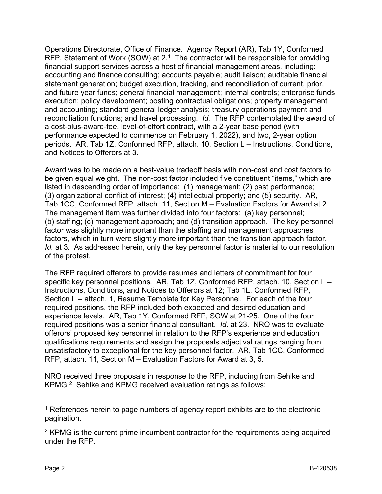Operations Directorate, Office of Finance. Agency Report (AR), Tab 1Y, Conformed RFP, Statement of Work (SOW) at  $2<sup>1</sup>$  The contractor will be responsible for providing financial support services across a host of financial management areas, including: accounting and finance consulting; accounts payable; audit liaison; auditable financial statement generation; budget execution, tracking, and reconciliation of current, prior, and future year funds; general financial management; internal controls; enterprise funds execution; policy development; posting contractual obligations; property management and accounting; standard general ledger analysis; treasury operations payment and reconciliation functions; and travel processing. *Id.* The RFP contemplated the award of a cost-plus-award-fee, level-of-effort contract, with a 2-year base period (with performance expected to commence on February 1, 2022), and two, 2-year option periods. AR, Tab 1Z, Conformed RFP, attach. 10, Section L – Instructions, Conditions, and Notices to Offerors at 3.

Award was to be made on a best-value tradeoff basis with non-cost and cost factors to be given equal weight. The non-cost factor included five constituent "items," which are listed in descending order of importance: (1) management; (2) past performance; (3) organizational conflict of interest; (4) intellectual property; and (5) security. AR, Tab 1CC, Conformed RFP, attach. 11, Section M – Evaluation Factors for Award at 2. The management item was further divided into four factors: (a) key personnel; (b) staffing; (c) management approach; and (d) transition approach. The key personnel factor was slightly more important than the staffing and management approaches factors, which in turn were slightly more important than the transition approach factor. *Id.* at 3. As addressed herein, only the key personnel factor is material to our resolution of the protest.

The RFP required offerors to provide resumes and letters of commitment for four specific key personnel positions. AR, Tab 1Z, Conformed RFP, attach. 10, Section L – Instructions, Conditions, and Notices to Offerors at 12; Tab 1L, Conformed RFP, Section L – attach. 1, Resume Template for Key Personnel. For each of the four required positions, the RFP included both expected and desired education and experience levels. AR, Tab 1Y, Conformed RFP, SOW at 21-25. One of the four required positions was a senior financial consultant. *Id.* at 23. NRO was to evaluate offerors' proposed key personnel in relation to the RFP's experience and education qualifications requirements and assign the proposals adjectival ratings ranging from unsatisfactory to exceptional for the key personnel factor. AR, Tab 1CC, Conformed RFP, attach. 11, Section M – Evaluation Factors for Award at 3, 5.

NRO received three proposals in response to the RFP, including from Sehlke and KPMG.[2](#page-1-1) Sehlke and KPMG received evaluation ratings as follows:

-

<span id="page-1-0"></span> $1$  References herein to page numbers of agency report exhibits are to the electronic pagination.

<span id="page-1-1"></span><sup>&</sup>lt;sup>2</sup> KPMG is the current prime incumbent contractor for the requirements being acquired under the RFP.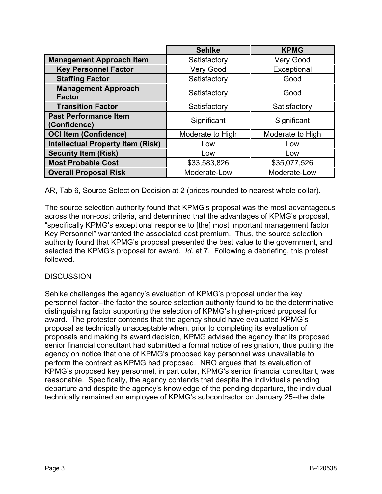|                                              | <b>Sehlke</b>    | <b>KPMG</b>      |
|----------------------------------------------|------------------|------------------|
| <b>Management Approach Item</b>              | Satisfactory     | <b>Very Good</b> |
| <b>Key Personnel Factor</b>                  | <b>Very Good</b> | Exceptional      |
| <b>Staffing Factor</b>                       | Satisfactory     | Good             |
| <b>Management Approach</b><br><b>Factor</b>  | Satisfactory     | Good             |
| <b>Transition Factor</b>                     | Satisfactory     | Satisfactory     |
| <b>Past Performance Item</b><br>(Confidence) | Significant      | Significant      |
| <b>OCI Item (Confidence)</b>                 | Moderate to High | Moderate to High |
| <b>Intellectual Property Item (Risk)</b>     | Low              | Low              |
| <b>Security Item (Risk)</b>                  | Low              | Low              |
| <b>Most Probable Cost</b>                    | \$33,583,826     | \$35,077,526     |
| <b>Overall Proposal Risk</b>                 | Moderate-Low     | Moderate-Low     |

AR, Tab 6, Source Selection Decision at 2 (prices rounded to nearest whole dollar).

The source selection authority found that KPMG's proposal was the most advantageous across the non-cost criteria, and determined that the advantages of KPMG's proposal, "specifically KPMG's exceptional response to [the] most important management factor Key Personnel" warranted the associated cost premium. Thus, the source selection authority found that KPMG's proposal presented the best value to the government, and selected the KPMG's proposal for award. *Id.* at 7. Following a debriefing, this protest followed.

### **DISCUSSION**

Sehlke challenges the agency's evaluation of KPMG's proposal under the key personnel factor--the factor the source selection authority found to be the determinative distinguishing factor supporting the selection of KPMG's higher-priced proposal for award. The protester contends that the agency should have evaluated KPMG's proposal as technically unacceptable when, prior to completing its evaluation of proposals and making its award decision, KPMG advised the agency that its proposed senior financial consultant had submitted a formal notice of resignation, thus putting the agency on notice that one of KPMG's proposed key personnel was unavailable to perform the contract as KPMG had proposed. NRO argues that its evaluation of KPMG's proposed key personnel, in particular, KPMG's senior financial consultant, was reasonable. Specifically, the agency contends that despite the individual's pending departure and despite the agency's knowledge of the pending departure, the individual technically remained an employee of KPMG's subcontractor on January 25--the date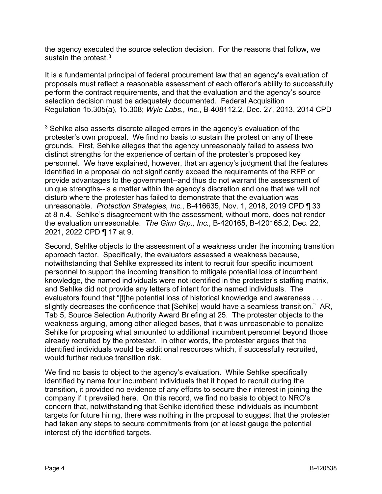the agency executed the source selection decision. For the reasons that follow, we sustain the protest.<sup>[3](#page-3-0)</sup>

It is a fundamental principal of federal procurement law that an agency's evaluation of proposals must reflect a reasonable assessment of each offeror's ability to successfully perform the contract requirements, and that the evaluation and the agency's source selection decision must be adequately documented. Federal Acquisition Regulation 15.305(a), 15.308; *Wyle Labs., Inc.*, B-408112.2, Dec. 27, 2013, 2014 CPD

<span id="page-3-0"></span><sup>3</sup> Sehlke also asserts discrete alleged errors in the agency's evaluation of the protester's own proposal. We find no basis to sustain the protest on any of these grounds. First, Sehlke alleges that the agency unreasonably failed to assess two distinct strengths for the experience of certain of the protester's proposed key personnel. We have explained, however, that an agency's judgment that the features identified in a proposal do not significantly exceed the requirements of the RFP or provide advantages to the government--and thus do not warrant the assessment of unique strengths--is a matter within the agency's discretion and one that we will not disturb where the protester has failed to demonstrate that the evaluation was unreasonable. *Protection Strategies, Inc.*, B-416635, Nov. 1, 2018, 2019 CPD ¶ 33 at 8 n.4. Sehlke's disagreement with the assessment, without more, does not render the evaluation unreasonable. *The Ginn Grp., Inc.*, B-420165, B-420165.2, Dec. 22, 2021, 2022 CPD ¶ 17 at 9.

Second, Sehlke objects to the assessment of a weakness under the incoming transition approach factor. Specifically, the evaluators assessed a weakness because, notwithstanding that Sehlke expressed its intent to recruit four specific incumbent personnel to support the incoming transition to mitigate potential loss of incumbent knowledge, the named individuals were not identified in the protester's staffing matrix, and Sehlke did not provide any letters of intent for the named individuals. The evaluators found that "[t]he potential loss of historical knowledge and awareness . . . slightly decreases the confidence that [Sehlke] would have a seamless transition." AR, Tab 5, Source Selection Authority Award Briefing at 25. The protester objects to the weakness arguing, among other alleged bases, that it was unreasonable to penalize Sehlke for proposing what amounted to additional incumbent personnel beyond those already recruited by the protester. In other words, the protester argues that the identified individuals would be additional resources which, if successfully recruited, would further reduce transition risk.

We find no basis to object to the agency's evaluation. While Sehlke specifically identified by name four incumbent individuals that it hoped to recruit during the transition, it provided no evidence of any efforts to secure their interest in joining the company if it prevailed here. On this record, we find no basis to object to NRO's concern that, notwithstanding that Sehlke identified these individuals as incumbent targets for future hiring, there was nothing in the proposal to suggest that the protester had taken any steps to secure commitments from (or at least gauge the potential interest of) the identified targets.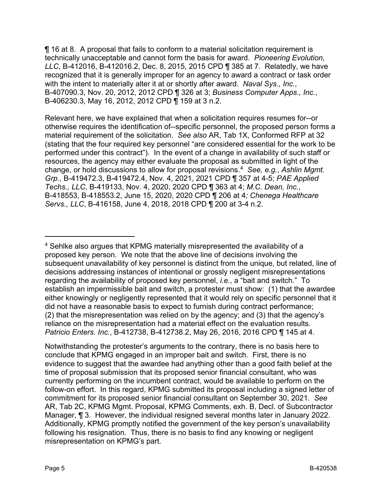¶ 16 at 8. A proposal that fails to conform to a material solicitation requirement is technically unacceptable and cannot form the basis for award. *Pioneering Evolution, LLC*, B-412016, B-412016.2, Dec. 8, 2015, 2015 CPD ¶ 385 at 7. Relatedly, we have recognized that it is generally improper for an agency to award a contract or task order with the intent to materially alter it at or shortly after award. *Naval Sys., Inc.*, B-407090.3, Nov. 20, 2012, 2012 CPD ¶ 326 at 3; *Business Computer Apps., Inc.*, B-406230.3, May 16, 2012, 2012 CPD ¶ 159 at 3 n.2.

Relevant here, we have explained that when a solicitation requires resumes for--or otherwise requires the identification of--specific personnel, the proposed person forms a material requirement of the solicitation. *See also* AR, Tab 1X, Conformed RFP at 32 (stating that the four required key personnel "are considered essential for the work to be performed under this contract"). In the event of a change in availability of such staff or resources, the agency may either evaluate the proposal as submitted in light of the change, or hold discussions to allow for proposal revisions.[4](#page-4-0) *See, e.g.*, *Ashlin Mgmt. Grp.*, B-419472.3, B-419472.4, Nov. 4, 2021, 2021 CPD ¶ 357 at 4-5; *PAE Applied Techs., LLC*, B-419133, Nov. 4, 2020, 2020 CPD ¶ 363 at 4; *M.C. Dean, Inc.*, B-418553, B-418553.2, June 15, 2020, 2020 CPD ¶ 206 at 4*; Chenega Healthcare Servs., LLC*, B-416158, June 4, 2018, 2018 CPD ¶ 200 at 3-4 n.2.

Notwithstanding the protester's arguments to the contrary, there is no basis here to conclude that KPMG engaged in an improper bait and switch. First, there is no evidence to suggest that the awardee had anything other than a good faith belief at the time of proposal submission that its proposed senior financial consultant, who was currently performing on the incumbent contract, would be available to perform on the follow-on effort. In this regard, KPMG submitted its proposal including a signed letter of commitment for its proposed senior financial consultant on September 30, 2021. *See*  AR, Tab 2C, KPMG Mgmt. Proposal, KPMG Comments, exh. B, Decl. of Subcontractor Manager, ¶ 3. However, the individual resigned several months later in January 2022. Additionally, KPMG promptly notified the government of the key person's unavailability following his resignation. Thus, there is no basis to find any knowing or negligent misrepresentation on KPMG's part.

<span id="page-4-0"></span><sup>4</sup> Sehlke also argues that KPMG materially misrepresented the availability of a proposed key person. We note that the above line of decisions involving the subsequent unavailability of key personnel is distinct from the unique, but related, line of decisions addressing instances of intentional or grossly negligent misrepresentations regarding the availability of proposed key personnel, *i.e.*, a "bait and switch." To establish an impermissible bait and switch, a protester must show: (1) that the awardee either knowingly or negligently represented that it would rely on specific personnel that it did not have a reasonable basis to expect to furnish during contract performance; (2) that the misrepresentation was relied on by the agency; and (3) that the agency's reliance on the misrepresentation had a material effect on the evaluation results. *Patricio Enters. Inc.*, B-412738, B-412738.2, May 26, 2016, 2016 CPD ¶ 145 at 4.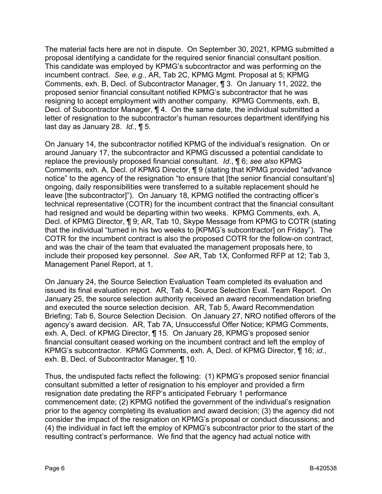The material facts here are not in dispute. On September 30, 2021, KPMG submitted a proposal identifying a candidate for the required senior financial consultant position. This candidate was employed by KPMG's subcontractor and was performing on the incumbent contract. *See, e.g.*, AR, Tab 2C, KPMG Mgmt. Proposal at 5; KPMG Comments, exh. B, Decl. of Subcontractor Manager, ¶ 3. On January 11, 2022, the proposed senior financial consultant notified KPMG's subcontractor that he was resigning to accept employment with another company. KPMG Comments, exh. B, Decl. of Subcontractor Manager, ¶ 4. On the same date, the individual submitted a letter of resignation to the subcontractor's human resources department identifying his last day as January 28. *Id.*, ¶ 5.

On January 14, the subcontractor notified KPMG of the individual's resignation. On or around January 17, the subcontractor and KPMG discussed a potential candidate to replace the previously proposed financial consultant. *Id.*, ¶ 6; *see also* KPMG Comments, exh. A, Decl. of KPMG Director, ¶ 9 (stating that KPMG provided "advance notice" to the agency of the resignation "to ensure that [the senior financial consultant's] ongoing, daily responsibilities were transferred to a suitable replacement should he leave [the subcontractor]"). On January 18, KPMG notified the contracting officer's technical representative (COTR) for the incumbent contract that the financial consultant had resigned and would be departing within two weeks. KPMG Comments, exh. A, Decl. of KPMG Director, ¶ 9; AR, Tab 10, Skype Message from KPMG to COTR (stating that the individual "turned in his two weeks to [KPMG's subcontractor] on Friday"). The COTR for the incumbent contract is also the proposed COTR for the follow-on contract, and was the chair of the team that evaluated the management proposals here, to include their proposed key personnel. *See* AR, Tab 1X, Conformed RFP at 12; Tab 3, Management Panel Report, at 1.

On January 24, the Source Selection Evaluation Team completed its evaluation and issued its final evaluation report. AR, Tab 4, Source Selection Eval. Team Report. On January 25, the source selection authority received an award recommendation briefing and executed the source selection decision. AR, Tab 5, Award Recommendation Briefing; Tab 6, Source Selection Decision. On January 27, NRO notified offerors of the agency's award decision. AR, Tab 7A, Unsuccessful Offer Notice; KPMG Comments, exh. A, Decl. of KPMG Director, ¶ 15. On January 28, KPMG's proposed senior financial consultant ceased working on the incumbent contract and left the employ of KPMG's subcontractor. KPMG Comments, exh. A, Decl. of KPMG Director, ¶ 16; *id.*, exh. B, Decl. of Subcontractor Manager, ¶ 10.

Thus, the undisputed facts reflect the following: (1) KPMG's proposed senior financial consultant submitted a letter of resignation to his employer and provided a firm resignation date predating the RFP's anticipated February 1 performance commencement date; (2) KPMG notified the government of the individual's resignation prior to the agency completing its evaluation and award decision; (3) the agency did not consider the impact of the resignation on KPMG's proposal or conduct discussions; and (4) the individual in fact left the employ of KPMG's subcontractor prior to the start of the resulting contract's performance. We find that the agency had actual notice with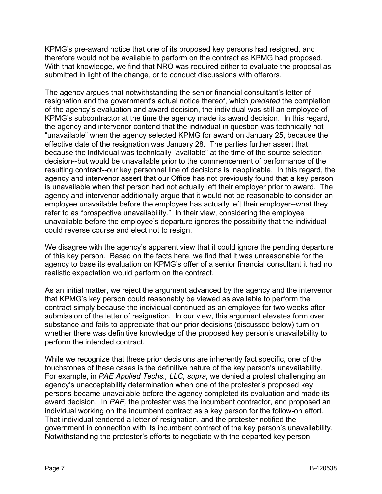KPMG's pre-award notice that one of its proposed key persons had resigned, and therefore would not be available to perform on the contract as KPMG had proposed. With that knowledge, we find that NRO was required either to evaluate the proposal as submitted in light of the change, or to conduct discussions with offerors.

The agency argues that notwithstanding the senior financial consultant's letter of resignation and the government's actual notice thereof, which *predated* the completion of the agency's evaluation and award decision, the individual was still an employee of KPMG's subcontractor at the time the agency made its award decision. In this regard, the agency and intervenor contend that the individual in question was technically not "unavailable" when the agency selected KPMG for award on January 25, because the effective date of the resignation was January 28. The parties further assert that because the individual was technically "available" at the time of the source selection decision--but would be unavailable prior to the commencement of performance of the resulting contract--our key personnel line of decisions is inapplicable. In this regard, the agency and intervenor assert that our Office has not previously found that a key person is unavailable when that person had not actually left their employer prior to award. The agency and intervenor additionally argue that it would not be reasonable to consider an employee unavailable before the employee has actually left their employer--what they refer to as "prospective unavailability." In their view, considering the employee unavailable before the employee's departure ignores the possibility that the individual could reverse course and elect not to resign.

We disagree with the agency's apparent view that it could ignore the pending departure of this key person. Based on the facts here, we find that it was unreasonable for the agency to base its evaluation on KPMG's offer of a senior financial consultant it had no realistic expectation would perform on the contract.

As an initial matter, we reject the argument advanced by the agency and the intervenor that KPMG's key person could reasonably be viewed as available to perform the contract simply because the individual continued as an employee for two weeks after submission of the letter of resignation. In our view, this argument elevates form over substance and fails to appreciate that our prior decisions (discussed below) turn on whether there was definitive knowledge of the proposed key person's unavailability to perform the intended contract.

While we recognize that these prior decisions are inherently fact specific, one of the touchstones of these cases is the definitive nature of the key person's unavailability. For example, in *PAE Applied Techs., LLC, supra*, we denied a protest challenging an agency's unacceptability determination when one of the protester's proposed key persons became unavailable before the agency completed its evaluation and made its award decision. In *PAE,* the protester was the incumbent contractor, and proposed an individual working on the incumbent contract as a key person for the follow-on effort. That individual tendered a letter of resignation, and the protester notified the government in connection with its incumbent contract of the key person's unavailability. Notwithstanding the protester's efforts to negotiate with the departed key person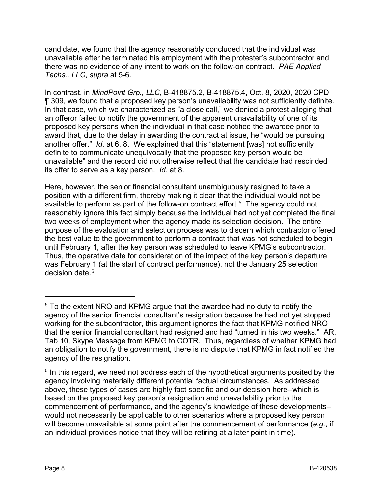candidate, we found that the agency reasonably concluded that the individual was unavailable after he terminated his employment with the protester's subcontractor and there was no evidence of any intent to work on the follow-on contract. *PAE Applied Techs., LLC*, *supra* at 5-6.

In contrast, in *MindPoint Grp., LLC*, B-418875.2, B-418875.4, Oct. 8, 2020, 2020 CPD ¶ 309, we found that a proposed key person's unavailability was not sufficiently definite. In that case, which we characterized as "a close call," we denied a protest alleging that an offeror failed to notify the government of the apparent unavailability of one of its proposed key persons when the individual in that case notified the awardee prior to award that, due to the delay in awarding the contract at issue, he "would be pursuing another offer." *Id*. at 6, 8. We explained that this "statement [was] not sufficiently definite to communicate unequivocally that the proposed key person would be unavailable" and the record did not otherwise reflect that the candidate had rescinded its offer to serve as a key person. *Id.* at 8.

Here, however, the senior financial consultant unambiguously resigned to take a position with a different firm, thereby making it clear that the individual would not be available to perform as part of the follow-on contract effort. [5](#page-7-0) The agency could not reasonably ignore this fact simply because the individual had not yet completed the final two weeks of employment when the agency made its selection decision. The entire purpose of the evaluation and selection process was to discern which contractor offered the best value to the government to perform a contract that was not scheduled to begin until February 1, after the key person was scheduled to leave KPMG's subcontractor. Thus, the operative date for consideration of the impact of the key person's departure was February 1 (at the start of contract performance), not the January 25 selection decision date. [6](#page-7-1)

<span id="page-7-0"></span><sup>5</sup> To the extent NRO and KPMG argue that the awardee had no duty to notify the agency of the senior financial consultant's resignation because he had not yet stopped working for the subcontractor, this argument ignores the fact that KPMG notified NRO that the senior financial consultant had resigned and had "turned in his two weeks." AR, Tab 10, Skype Message from KPMG to COTR. Thus, regardless of whether KPMG had an obligation to notify the government, there is no dispute that KPMG in fact notified the agency of the resignation.

<span id="page-7-1"></span> $6$  In this regard, we need not address each of the hypothetical arguments posited by the agency involving materially different potential factual circumstances. As addressed above, these types of cases are highly fact specific and our decision here--which is based on the proposed key person's resignation and unavailability prior to the commencement of performance, and the agency's knowledge of these developments- would not necessarily be applicable to other scenarios where a proposed key person will become unavailable at some point after the commencement of performance (*e.g.*, if an individual provides notice that they will be retiring at a later point in time).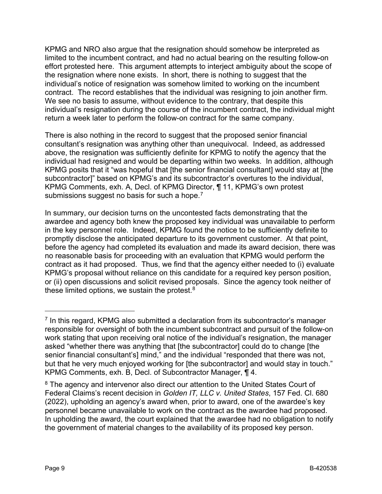KPMG and NRO also argue that the resignation should somehow be interpreted as limited to the incumbent contract, and had no actual bearing on the resulting follow-on effort protested here. This argument attempts to interject ambiguity about the scope of the resignation where none exists. In short, there is nothing to suggest that the individual's notice of resignation was somehow limited to working on the incumbent contract. The record establishes that the individual was resigning to join another firm. We see no basis to assume, without evidence to the contrary, that despite this individual's resignation during the course of the incumbent contract, the individual might return a week later to perform the follow-on contract for the same company.

There is also nothing in the record to suggest that the proposed senior financial consultant's resignation was anything other than unequivocal. Indeed, as addressed above, the resignation was sufficiently definite for KPMG to notify the agency that the individual had resigned and would be departing within two weeks. In addition, although KPMG posits that it "was hopeful that [the senior financial consultant] would stay at [the subcontractor]" based on KPMG's and its subcontractor's overtures to the individual, KPMG Comments, exh. A, Decl. of KPMG Director, ¶ 11, KPMG's own protest submissions suggest no basis for such a hope.<sup>[7](#page-8-0)</sup>

In summary, our decision turns on the uncontested facts demonstrating that the awardee and agency both knew the proposed key individual was unavailable to perform in the key personnel role. Indeed, KPMG found the notice to be sufficiently definite to promptly disclose the anticipated departure to its government customer. At that point, before the agency had completed its evaluation and made its award decision, there was no reasonable basis for proceeding with an evaluation that KPMG would perform the contract as it had proposed. Thus, we find that the agency either needed to (i) evaluate KPMG's proposal without reliance on this candidate for a required key person position, or (ii) open discussions and solicit revised proposals. Since the agency took neither of these limited options, we sustain the protest. $8$ 

<span id="page-8-0"></span> $<sup>7</sup>$  In this regard, KPMG also submitted a declaration from its subcontractor's manager</sup> responsible for oversight of both the incumbent subcontract and pursuit of the follow-on work stating that upon receiving oral notice of the individual's resignation, the manager asked "whether there was anything that [the subcontractor] could do to change [the senior financial consultant's] mind," and the individual "responded that there was not, but that he very much enjoyed working for [the subcontractor] and would stay in touch." KPMG Comments, exh. B, Decl. of Subcontractor Manager, ¶ 4.

<span id="page-8-1"></span><sup>&</sup>lt;sup>8</sup> The agency and intervenor also direct our attention to the United States Court of Federal Claims's recent decision in *Golden IT, LLC v. United States*, 157 Fed. Cl. 680 (2022), upholding an agency's award when, prior to award, one of the awardee's key personnel became unavailable to work on the contract as the awardee had proposed. In upholding the award, the court explained that the awardee had no obligation to notify the government of material changes to the availability of its proposed key person.